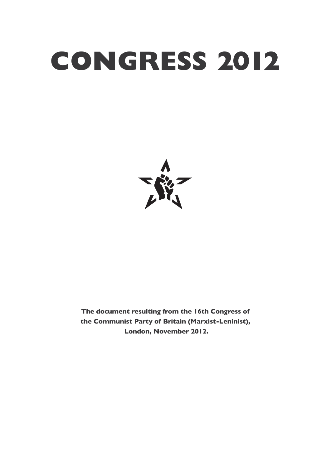## **CONGRESS 2012**



**The document resulting from the 16th Congress of the Communist Party of Britain (Marxist-Leninist), London, November 2012.**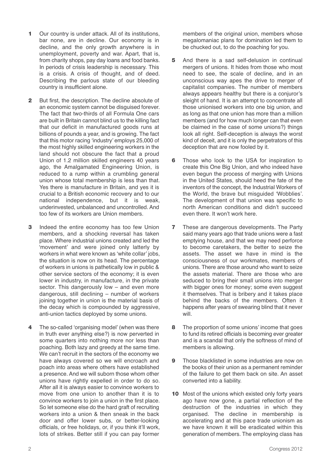- **1** Our country is under attack. All of its institutions, bar none, are in decline. Our economy is in decline, and the only growth anywhere is in unemployment, poverty and war. Apart, that is, from charity shops, pay day loans and food banks. In periods of crisis leadership is necessary. This is a crisis. A crisis of thought, and of deed. Describing the parlous state of our bleeding country is insufficient alone.
- **2** But first, the description. The decline absolute of an economic system cannot be disguised forever. The fact that two-thirds of all Formula One cars are built in Britain cannot blind us to the killing fact that our deficit in manufactured goods runs at billions of pounds a year, and is growing. The fact that this motor racing 'industry' employs 25,000 of the most highly skilled engineering workers in the land should not obscure the fact that a proud Union of 1.2 million skilled engineers 40 years ago, the Amalgamated Engineering Union, is reduced to a rump within a crumbling general union whose total membership is less than that. Yes there is manufacture in Britain, and yes it is crucial to a British economic recovery and to our national independence, but it is weak, underinvested, unbalanced and uncontrolled. And too few of its workers are Union members.
- **3** Indeed the entire economy has too few Union members, and a shocking reversal has taken place. Where industrial unions created and led the 'movement' and were joined only latterly by workers in what were known as 'white collar' jobs, the situation is now on its head. The percentage of workers in unions is pathetically low in public & other service sectors of the economy; it is even lower in industry, in manufacture, in the private sector. This dangerously low - and even more dangerous, still declining – number of workers joining together in union is the material basis of the decay which is compounded by aggressive, anti-union tactics deployed by some unions.
- **4** The so-called 'organising model' (when was there in truth ever anything else?) is now perverted in some quarters into nothing more nor less than poaching. Both lazy and greedy at the same time. We can't recruit in the sectors of the economy we have always covered so we will encroach and poach into areas where others have established a presence. And we will suborn those whom other unions have rightly expelled in order to do so. After all it is always easier to convince workers to move from one union to another than it is to convince workers to join a union in the first place. So let someone else do the hard graft of recruiting workers into a union & then sneak in the back door and offer lower subs, or better-looking officials, or free holidays, or, if you think it'll work, lots of strikes. Better still if you can pay former

members of the original union, members whose megalomaniac plans for domination led them to be chucked out, to do the poaching for you.

- **5** And there is a sad self-delusion in continual mergers of unions. It hides from those who most need to see, the scale of decline, and in an unconscious way apes the drive to merger of capitalist companies. The number of members always appears healthy but there is a conjuror's sleight of hand. It is an attempt to concentrate all those unionised workers into one big union, and as long as that one union has more than a million members (and for how much longer can that even be claimed in the case of some unions?) things look all right. Self-deception is always the worst kind of deceit, and it is only the perpetrators of this deception that are now fooled by it.
- **6** Those who look to the USA for inspiration to create this One Big Union, and who indeed have even begun the process of merging with Unions in the United States, should heed the fate of the inventors of the concept, the Industrial Workers of the World, the brave but misguided 'Wobblies'. The development of that union was specific to north American conditions and didn't succeed even there. It won't work here.
- **7** These are dangerous developments. The Party said many years ago that trade unions were a fast emptying house, and that we may need perforce to become caretakers, the better to seize the assets. The asset we have in mind is the consciousness of our workmates, members of unions. There are those around who want to seize the assets material. There are those who are seduced to bring their small unions into merger with bigger ones for money; some even suggest it themselves. That is bribery and it takes place behind the backs of the members. Often it happens after years of swearing blind that it never will.
- **8** The proportion of some unions' income that goes to fund its retired officials is becoming ever greater and is a scandal that only the softness of mind of members is allowing.
- **9** Those blacklisted in some industries are now on the books of their union as a permanent reminder of the failure to get them back on site. An asset converted into a liability.
- **10** Most of the unions which existed only forty years ago have now gone, a partial reflection of the destruction of the industries in which they organised. The decline in membership is accelerating and at this pace trade unionism as we have known it will be eradicated within this generation of members. The employing class has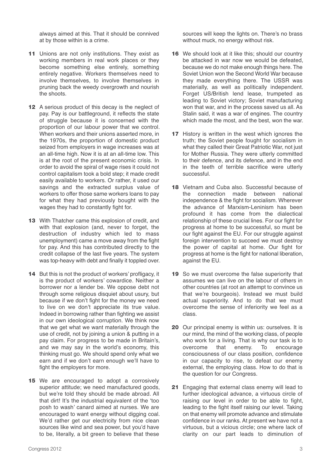always aimed at this. That it should be connived at by those within is a crime.

- **11** Unions are not only institutions. They exist as working members in real work places or they become something else entirely, something entirely negative. Workers themselves need to involve themselves, to involve themselves in pruning back the weedy overgrowth and nourish the shoots.
- **12** A serious product of this decay is the neglect of pay. Pay is our battleground, it reflects the state of struggle because it is concerned with the proportion of our labour power that we control. When workers and their unions asserted more, in the 1970s, the proportion of domestic product seized from employers in wage increases was at an all-time high. Now it is at an all-time low. This is at the root of the present economic crisis. In order to avoid the spiral of wage rises it could not control capitalism took a bold step; it made credit easily available to workers. Or rather, it used our savings and the extracted surplus value of workers to offer those same workers loans to pay for what they had previously bought with the wages they had to constantly fight for.
- **13** With Thatcher came this explosion of credit, and with that explosion (and, never to forget, the destruction of industry which led to mass unemployment) came a move away from the fight for pay. And this has contributed directly to the credit collapse of the last five years. The system was top-heavy with debt and finally it toppled over.
- **14** But this is not the product of workers' profligacy, it is the product of workers' cowardice. Neither a borrower nor a lender be. We oppose debt not through some religious disquiet about usury, but because if we don't fight for the money we need to live on we don't appreciate its true value. Indeed in borrowing rather than fighting we assist in our own ideological corruption. We think now that we get what we want materially through the use of credit, not by joining a union & putting in a pay claim. For progress to be made in Britain's, and we may say in the world's economy, this thinking must go. We should spend only what we earn and if we don't earn enough we'll have to fight the employers for more.
- **15** We are encouraged to adopt a corrosively superior attitude; we need manufactured goods, but we're told they should be made abroad. All that dirt! It's the industrial equivalent of the 'too posh to wash' canard aimed at nurses. We are encouraged to want energy without digging coal. We'd rather get our electricity from nice clean sources like wind and sea power, but you'd have to be, literally, a bit green to believe that these

sources will keep the lights on. There's no brass without muck, no energy without risk.

- **16** We should look at it like this; should our country be attacked in war now we would be defeated, because we do not make enough things here. The Soviet Union won the Second World War because they made everything there. The USSR was materially, as well as politically independent. Forget US/British lend lease, trumpeted as leading to Soviet victory; Soviet manufacturing won that war, and in the process saved us all. As Stalin said, it was a war of engines. The country which made the most, and the best, won the war.
- **17** History is written in the west which ignores the truth; the Soviet people fought for socialism in what they called their Great Patriotic War, not just for Mother Russia. They were utterly committed to their defence, and its defence, and in the end in the teeth of terrible sacrifice were utterly successful.
- **18** Vietnam and Cuba also. Successful because of the connection made between national independence & the fight for socialism. Wherever the advance of Marxism-Leninism has been profound it has come from the dialectical relationship of these crucial lines. For our fight for progress at home to be successful, so must be our fight against the EU. For our struggle against foreign intervention to succeed we must destroy the power of capital at home. Our fight for progress at home is the fight for national liberation, against the EU.
- 19 So we must overcome the false superiority that assumes we can live on the labour of others in other countries (at root an attempt to convince us that we're bourgeois). Instead we must build actual superiority. And to do that we must overcome the sense of inferiority we feel as a class.
- **20** Our principal enemy is within us: ourselves. It is our mind, the mind of the working class, of people who work for a living. That is why our task is to overcome that enemy. To encourage consciousness of our class position, confidence in our capacity to rise, to defeat our enemy external, the employing class. How to do that is the question for our Congress.
- **21** Engaging that external class enemy will lead to further ideological advance, a virtuous circle of raising our level in order to be able to fight, leading to the fight itself raising our level. Taking on that enemy will promote advance and stimulate confidence in our ranks. At present we have not a virtuous, but a vicious circle; one where lack of clarity on our part leads to diminution of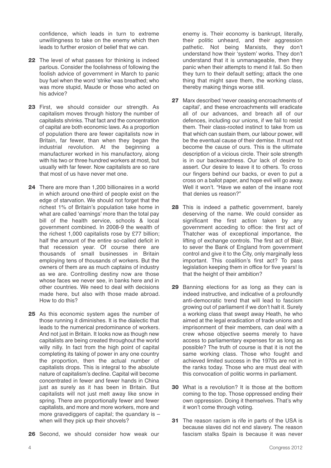confidence, which leads in turn to extreme unwillingness to take on the enemy which then leads to further erosion of belief that we can.

- **22** The level of what passes for thinking is indeed parlous. Consider the foolishness of following the foolish advice of government in March to panic buy fuel when the word 'strike' was breathed; who was more stupid, Maude or those who acted on his advice?
- **23** First, we should consider our strength. As capitalism moves through history the number of capitalists shrinks. That fact and the concentration of capital are both economic laws. As a proportion of population there are fewer capitalists now in Britain, far fewer, than when they began the industrial revolution. At the beginning a manufacturer worked in his manufactory, along with his two or three hundred workers at most, but usually with far fewer. Now capitalists are so rare that most of us have never met one.
- **24** There are more than 1,200 billionaires in a world in which around one-third of people exist on the edge of starvation. We should not forget that the richest 1% of Britain's population take home in what are called 'earnings' more than the total pay bill of the health service, schools & local government combined. In 2008-9 the wealth of the richest 1,000 capitalists rose by £77 billion; half the amount of the entire so-called deficit in that recession year. Of course there are thousands of small businesses in Britain employing tens of thousands of workers. But the owners of them are as much captains of industry as we are. Controlling destiny now are those whose faces we never see, in banks here and in other countries. We need to deal with decisions made here, but also with those made abroad. How to do this?
- **25** As this economic system ages the number of those running it diminishes. It is the dialectic that leads to the numerical predominance of workers. And not just in Britain. It looks now as though new capitalists are being created throughout the world willy nilly. In fact from the high point of capital completing its taking of power in any one country the proportion, then the actual number of capitalists drops. This is integral to the absolute nature of capitalism's decline. Capital will become concentrated in fewer and fewer hands in China just as surely as it has been in Britain. But capitalists will not just melt away like snow in spring. There are proportionally fewer and fewer capitalists, and more and more workers, more and more gravediggers of capital; the quandary is  $$ when will they pick up their shovels?
- **26** Second, we should consider how weak our

enemy is. Their economy is bankrupt, literally, their politic unheard, and their aggression pathetic. Not being Marxists, they don't understand how their 'system' works. They don't understand that it is unmanageable, then they panic when their attempts to mend it fail. So then they turn to their default setting; attack the one thing that might save them, the working class, thereby making things worse still.

- **27** Marx described 'never ceasing encroachments of capital', and these encroachments will eradicate all of our advances, and breach all of our defences, including our unions, if we fail to resist them. Their class-rooted instinct to take from us that which can sustain them, our labour power, will be the eventual cause of their demise. It must not become the cause of ours. This is the ultimate description of a vicious circle. Their sole strength is in our backwardness. Our lack of desire to assert. Our desire to leave it to others. To cross our fingers behind our backs, or even to put a cross on a ballot paper, and hope evil will go away. Well it won't. "Have we eaten of the insane root that denies us reason?"
- **28** This is indeed a pathetic government, barely deserving of the name. We could consider as significant the first action taken by any government acceding to office: the first act of Thatcher was of exceptional importance, the lifting of exchange controls. The first act of Blair, to sever the Bank of England from government control and give it to the City, only marginally less important. This coalition's first act? To pass legislation keeping them in office for five years! Is that the height of their ambition?
- **29** Banning elections for as long as they can is indeed instructive, and indicative of a profoundly anti-democratic trend that will lead to fascism growing out of parliament if we don't halt it. Surely a working class that swept away Heath, he who aimed at the legal eradication of trade unions and imprisonment of their members, can deal with a crew whose objective seems merely to have access to parliamentary expenses for as long as possible? The truth of course is that it is not the same working class. Those who fought and achieved limited success in the 1970s are not in the ranks today. Those who are must deal with this convocation of politic worms in parliament.
- **30** What is a revolution? It is those at the bottom coming to the top. Those oppressed ending their own oppression. Doing it themselves. That's why it won't come through voting.
- **31** The reason racism is rife in parts of the USA is because slaves did not end slavery. The reason fascism stalks Spain is because it was never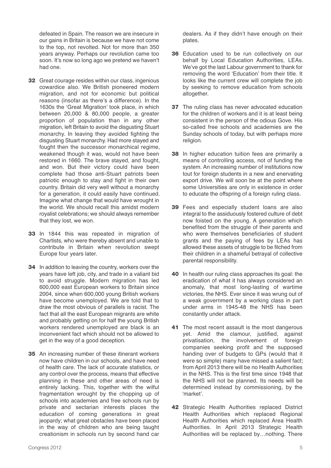defeated in Spain. The reason we are insecure in our gains in Britain is because we have not come to the top, not revolted. Not for more than 350 years anyway. Perhaps our revolution came too soon. It's now so long ago we pretend we haven't had one.

- **32** Great courage resides within our class, ingenious cowardice also. We British pioneered modern migration, and not for economic but political reasons (insofar as there's a difference). In the 1630s the 'Great Migration' took place, in which between 20,000 & 80,000 people, a greater proportion of population than in any other migration, left Britain to avoid the disgusting Stuart monarchy. In leaving they avoided fighting the disgusting Stuart monarchy. Had more stayed and fought then the successor monarchical regime, weakened though it was, would not have been restored in 1660. The brave stayed, and fought, and won. But their victory could have been complete had those anti-Stuart patriots been patriotic enough to stay and fight in their own country. Britain did very well without a monarchy for a generation, it could easily have continued. Imagine what change that would have wrought in the world. We should recall this amidst modern royalist celebrations; we should always remember that they lost, we won.
- **33** In 1844 this was repeated in migration of Chartists, who were thereby absent and unable to contribute in Britain when revolution swept Europe four years later.
- **34** In addition to leaving the country, workers over the years have left job, city, and trade in a valiant bid to avoid struggle. Modern migration has led 600,000 east European workers to Britain since 2004, since when 600,000 young British workers have become unemployed. We are told that to draw the most obvious of parallels is racist. The fact that all the east European migrants are white and probably getting on for half the young British workers rendered unemployed are black is an inconvenient fact which should not be allowed to get in the way of a good deception.
- **35** An increasing number of these itinerant workers now have children in our schools, and have need of health care. The lack of accurate statistics, or any control over the process, means that effective planning in these and other areas of need is entirely lacking. This, together with the wilful fragmentation wrought by the chopping up of schools into academies and free schools run by private and sectarian interests places the education of coming generations in great jeopardy; what great obstacles have been placed in the way of children who are being taught creationism in schools run by second hand car

dealers. As if they didn't have enough on their plates.

- **36** Education used to be run collectively on our behalf by Local Education Authorities, LEAs. We've got the last Labour government to thank for removing the word 'Education' from their title. It looks like the current crew will complete the job by seeking to remove education from schools altogether.
- **37** The ruling class has never advocated education for the children of workers and it is at least being consistent in the person of the odious Gove. His so-called free schools and academies are the Sunday schools of today, but with perhaps more religion.
- **38** In higher education tuition fees are primarily a means of controlling access, not of funding the system. An increasing number of institutions now tout for foreign students in a new and enervating export drive. We will soon be at the point where some Universities are only in existence in order to educate the offspring of a foreign ruling class.
- **39** Fees and especially student loans are also integral to the assiduously fostered culture of debt now foisted on the young. A generation which benefited from the struggle of their parents and who were themselves beneficiaries of student grants and the paying of fees by LEAs has allowed these assets of struggle to be filched from their children in a shameful betrayal of collective parental responsibility.
- **40** In health our ruling class approaches its goal: the eradication of what it has always considered an anomaly, that most long-lasting of wartime victories, the NHS. Ever since it was wrung out of a weak government by a working class in part under arms in 1945-48 the NHS has been constantly under attack.
- **41** The most recent assault is the most dangerous yet. Amid the clamour, justified, against privatisation, the involvement of foreign companies seeking profit and the supposed handing over of budgets to GPs (would that it were so simple) many have missed a salient fact; from April 2013 there will be no Health Authorities in the NHS. This is the first time since 1948 that the NHS will not be planned. Its needs will be determined instead by commissioning, by the 'market'.
- **42** Strategic Health Authorities replaced District Health Authorities which replaced Regional Health Authorities which replaced Area Health Authorities. In April 2013 Strategic Health Authorities will be replaced by…nothing. There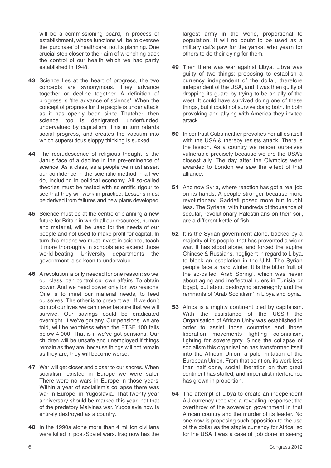will be a commissioning board, in process of establishment, whose functions will be to oversee the 'purchase' of healthcare, not its planning. One crucial step closer to their aim of wrenching back the control of our health which we had partly established in 1948.

- **43** Science lies at the heart of progress, the two concepts are synonymous. They advance together or decline together. A definition of progress is 'the advance of science'. When the concept of progress for the people is under attack, as it has openly been since Thatcher, then science too is denigrated, underfunded, undervalued by capitalism. This in turn retards social progress, and creates the vacuum into which superstitious sloppy thinking is sucked.
- **44** The recrudescence of religious thought is the Janus face of a decline in the pre-eminence of science. As a class, as a people we must assert our confidence in the scientific method in all we do, including in political economy. All so-called theories must be tested with scientific rigour to see that they will work in practice. Lessons must be derived from failures and new plans developed.
- **45** Science must be at the centre of planning a new future for Britain in which all our resources, human and material, will be used for the needs of our people and not used to make profit for capital. In turn this means we must invest in science, teach it more thoroughly in schools and extend those world-beating University departments the government is so keen to undervalue.
- **46** A revolution is only needed for one reason; so we, our class, can control our own affairs. To obtain power. And we need power only for two reasons. One is to meet our material needs, to feed ourselves. The other is to prevent war. If we don't control our lives we can never be sure that we will survive. Our savings could be eradicated overnight. If we've got any. Our pensions, we are told, will be worthless when the FTSE 100 falls below 4,000. That is if we've got pensions. Our children will be unsafe and unemployed if things remain as they are; because things will not remain as they are, they will become worse.
- **47** War will get closer and closer to our shores. When socialism existed in Europe we were safer. There were no wars in Europe in those years. Within a year of socialism's collapse there was war in Europe, in Yugoslavia. That twenty-year anniversary should be marked this year, not that of the predatory Malvinas war. Yugoslavia now is entirely destroyed as a country.
- **48** In the 1990s alone more than 4 million civilians were killed in post-Soviet wars. Iraq now has the

largest army in the world, proportional to population. It will no doubt to be used as a military cat's paw for the yanks, who yearn for others to do their dying for them.

- **49** Then there was war against Libya. Libya was guilty of two things; proposing to establish a currency independent of the dollar, therefore independent of the USA, and it was then guilty of dropping its guard by trying to be an ally of the west. It could have survived doing one of these things, but it could not survive doing both. In both provoking and allying with America they invited attack.
- **50** In contrast Cuba neither provokes nor allies itself with the USA & thereby resists attack. There is the lesson. As a country we render ourselves vulnerable precisely because we are the USA's closest ally. The day after the Olympics were awarded to London we saw the effect of that alliance.
- **51** And now Syria, where reaction has got a real job on its hands. A people stronger because more revolutionary. Gaddafi posed more but fought less. The Syrians, with hundreds of thousands of secular, revolutionary Palestinians on their soil, are a different kettle of fish.
- **52** It is the Syrian government alone, backed by a majority of its people, that has prevented a wider war. It has stood alone, and forced the supine Chinese & Russians, negligent in regard to Libya, to block an escalation in the U.N. The Syrian people face a hard winter. It is the bitter fruit of the so-called 'Arab Spring', which was never about aging and ineffectual rulers in Tunisia or Egypt, but about destroying sovereignty and the remnants of 'Arab Socialism' in Libya and Syria.
- **53** Africa is a mighty continent bled by capitalism. With the assistance of the USSR the Organisation of African Unity was established in order to assist those countries and those liberation movements fighting colonialism, fighting for sovereignty. Since the collapse of socialism this organisation has transformed itself into the African Union, a pale imitation of the European Union. From that point on, its work less than half done, social liberation on that great continent has stalled, and imperialist interference has grown in proportion.
- **54** The attempt of Libya to create an independent AU currency received a revealing response; the overthrow of the sovereign government in that African country and the murder of its leader. No one now is proposing such opposition to the use of the dollar as the staple currency for Africa, so for the USA it was a case of 'job done' in seeing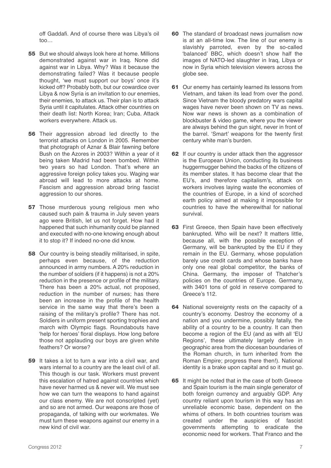off Gaddafi. And of course there was Libya's oil too…

- **55** But we should always look here at home. Millions demonstrated against war in Iraq. None did against war in Libya. Why? Was it because the demonstrating failed? Was it because people thought, 'we must support our boys' once it's kicked off? Probably both, but our cowardice over Libya & now Syria is an invitation to our enemies, their enemies, to attack us. Their plan is to attack Syria until it capitulates. Attack other countries on their death list: North Korea; Iran; Cuba. Attack workers everywhere. Attack us.
- **56** Their aggression abroad led directly to the terrorist attacks on London in 2005. Remember that photograph of Aznar & Blair fawning before Bush on the Azores in 2003? Within a year of it being taken Madrid had been bombed. Within two years so had London. That's where an aggressive foreign policy takes you. Waging war abroad will lead to more attacks at home. Fascism and aggression abroad bring fascist aggression to our shores.
- **57** Those murderous young religious men who caused such pain & trauma in July seven years ago were British, let us not forget. How had it happened that such inhumanity could be planned and executed with no-one knowing enough about it to stop it? If indeed no-one did know.
- **58** Our country is being steadily militarised, in spite, perhaps even because, of the reduction announced in army numbers. A 20% reduction in the number of soldiers (if it happens) is not a 20% reduction in the presence or profile of the military. There has been a 20% actual, not proposed, reduction in the number of nurses; has there been an increase in the profile of the health service in the same way that there's been a raising of the military's profile? There has not. Soldiers in uniform present sporting trophies and march with Olympic flags. Roundabouts have 'help for heroes' floral displays. How long before those not applauding our boys are given white feathers? Or worse?
- **59** It takes a lot to turn a war into a civil war, and wars internal to a country are the least civil of all. This though is our task. Workers must prevent this escalation of hatred against countries which have never harmed us & never will. We must see how we can turn the weapons to hand against our class enemy. We are not conscripted (yet) and so are not armed. Our weapons are those of propaganda, of talking with our workmates. We must turn these weapons against our enemy in a new kind of civil war.
- **60** The standard of broadcast news journalism now is at an all-time low. The line of our enemy is slavishly parroted, even by the so-called 'balanced' BBC, which doesn't show half the images of NATO-led slaughter in Iraq, Libya or now in Syria which television viewers across the globe see.
- **61** Our enemy has certainly learned its lessons from Vietnam, and taken its lead from over the pond. Since Vietnam the bloody predatory wars capital wages have never been shown on TV as news. Now war news is shown as a combination of blockbuster & video game, where you the viewer are always behind the gun sight, never in front of the barrel. 'Smart' weapons for the twenty first century white man's burden.
- **62** If our country is under attack then the aggressor is the European Union, conducting its business huggermugger behind the backs of the citizens of its member states. It has become clear that the EU's, and therefore capitalism's, attack on workers involves laying waste the economies of the countries of Europe, in a kind of scorched earth policy aimed at making it impossible for countries to have the wherewithal for national survival.
- **63** First Greece, then Spain have been effectively bankrupted. Who will be next? It matters little, because all, with the possible exception of Germany, will be bankrupted by the EU if they remain in the EU. Germany, whose population barely use credit cards and whose banks have only one real global competitor, the banks of China. Germany, the imposer of Thatcher's policies on the countries of Europe. Germany, with 3401 tons of gold in reserve compared to Greece's 112.
- **64** National sovereignty rests on the capacity of a country's economy. Destroy the economy of a nation and you undermine, possibly fatally, the ability of a country to be a country. It can then become a region of the EU (and as with all 'EU Regions', these ultimately largely derive in geographic area from the diocesan boundaries of the Roman church, in turn inherited from the Roman Empire; progress there then!). National identity is a brake upon capital and so it must go.
- **65** It might be noted that in the case of both Greece and Spain tourism is the main single generator of both foreign currency and arguably GDP. Any country reliant upon tourism in this way has an unreliable economic base, dependent on the whims of others. In both countries tourism was created under the auspicies of fascist governments attempting to eradicate the economic need for workers. That Franco and the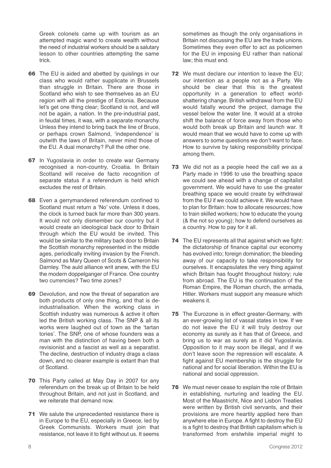Greek colonels came up with tourism as an attempted magic wand to create wealth without the need of industrial workers should be a salutary lesson to other countries attempting the same trick.

- **66** The EU is aided and abetted by quislings in our class who would rather supplicate in Brussels than struggle in Britain. There are those in Scotland who wish to see themselves as an EU region with all the prestige of Estonia. Because let's get one thing clear; Scotland is not, and will not be again, a nation. In the pre-industrial past, in feudal times, it was, with a separate monarchy. Unless they intend to bring back the line of Bruce, or perhaps crown Salmond, 'independence' is outwith the laws of Britain, never mind those of the EU. A dual monarchy? Pull the other one.
- **67** In Yugoslavia in order to create war Germany recognised a non-country, Croatia. In Britain Scotland will receive de facto recognition of separate status if a referendum is held which excludes the rest of Britain.
- **68** Even a gerrymandered referendum confined to Scotland must return a 'No' vote. Unless it does, the clock is turned back far more than 300 years. It would not only dismember our country but it would create an ideological back door to Britain through which the EU would be invited. This would be similar to the military back door to Britain the Scottish monarchy represented in the middle ages, periodically inviting invasion by the French. Salmond as Mary Queen of Scots & Cameron his Darnley. The auld alliance writ anew, with the EU the modern doppelganger of France. One country two currencies? Two time zones?
- **69** Devolution, and now the threat of separation are both products of only one thing, and that is deindustrialisation. When the working class in Scottish industry was numerous & active it often led the British working class. The SNP & all its works were laughed out of town as the 'tartan tories'. The SNP, one of whose founders was a man with the distinction of having been both a revisionist and a fascist as well as a separatist. The decline, destruction of industry drags a class down, and no clearer example is extant than that of Scotland.
- **70** This Party called at May Day in 2007 for any referendum on the break up of Britain to be held throughout Britain, and not just in Scotland, and we reiterate that demand now.
- **71** We salute the unprecedented resistance there is in Europe to the EU, especially in Greece, led by Greek Communists. Workers must join that resistance, not leave it to fight without us. It seems

sometimes as though the only organisations in Britain not discussing the EU are the trade unions. Sometimes they even offer to act as policemen for the EU in imposing EU rather than national law; this must end.

- **72** We must declare our intention to leave the EU; our intention as a people not as a Party. We should be clear that this is the greatest opportunity in a generation to effect worldshattering change. British withdrawal from the EU would fatally wound the project, damage the vessel below the water line. It would at a stroke shift the balance of force away from those who would both break up Britain and launch war. It would mean that we would have to come up with answers to some questions we don't want to face. How to survive by taking responsibility principal among them.
- **73** We did not as a people heed the call we as a Party made in 1996 to use the breathing space we could see ahead with a change of capitalist government. We would have to use the greater breathing space we would create by withdrawal from the EU if we could achieve it. We would have to plan for Britain: how to allocate resources; how to train skilled workers; how to educate the young (& the not so young); how to defend ourselves as a country. How to pay for it all.
- **74** The EU represents all that against which we fight: the dictatorship of finance capital our economy has evolved into; foreign domination; the bleeding away of our capacity to take responsibility for ourselves. It encapsulates the very thing against which Britain has fought throughout history; rule from abroad. The EU is the continuation of the Roman Empire, the Roman church, the armada, Hitler. Workers must support any measure which weakens it.
- **75** The Eurozone is in effect greater-Germany, with an ever-growing list of vassal states in tow. If we do not leave the EU it will truly destroy our economy as surely as it has that of Greece, and bring us to war as surely as it did Yugoslavia. Opposition to it may soon be illegal, and if we don't leave soon the repression will escalate. A fight against EU membership is the struggle for national and for social liberation. Within the EU is national and social oppression.
- **76** We must never cease to explain the role of Britain in establishing, nurturing and leading the EU. Most of the Maastricht, Nice and Lisbon Treaties were written by British civil servants, and their provisions are more heartily applied here than anywhere else in Europe. A fight to destroy the EU is a fight to destroy that British capitalism which is transformed from erstwhile imperial might to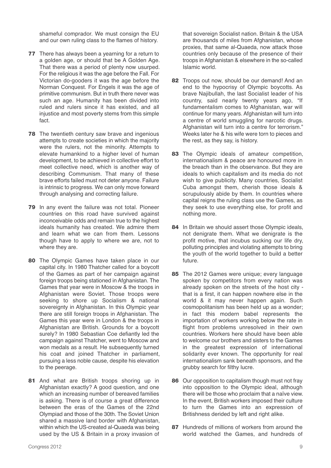shameful comprador. We must consign the EU and our own ruling class to the flames of history.

- **77** There has always been a yearning for a return to a golden age, or should that be A Golden Age. That there was a period of plenty now usurped. For the religious it was the age before the Fall. For Victorian do-gooders it was the age before the Norman Conquest. For Engels it was the age of primitive communism. But in truth there never was such an age. Humanity has been divided into ruled and rulers since it has existed, and all injustice and most poverty stems from this simple fact.
- **78** The twentieth century saw brave and ingenious attempts to create societies in which the majority were the rulers, not the minority. Attempts to elevate humankind to a higher level of human development, to be achieved in collective effort to meet collective need, which is another way of describing Communism. That many of these brave efforts failed must not deter anyone. Failure is intrinsic to progress. We can only move forward through analysing and correcting failure.
- **79** In any event the failure was not total. Pioneer countries on this road have survived against inconceivable odds and remain true to the highest ideals humanity has created. We admire them and learn what we can from them. Lessons though have to apply to where we are, not to where they are.
- **80** The Olympic Games have taken place in our capital city. In 1980 Thatcher called for a boycott of the Games as part of her campaign against foreign troops being stationed in Afghanistan. The Games that year were in Moscow & the troops in Afghanistan were Soviet. Those troops were seeking to shore up Socialism & national sovereignty in Afghanistan. In this Olympic year there are still foreign troops in Afghanistan. The Games this year were in London & the troops in Afghanistan are British. Grounds for a boycott surely? In 1980 Sebastian Coe defiantly led the campaign against Thatcher, went to Moscow and won medals as a result. He subsequently turned his coat and joined Thatcher in parliament, pursuing a less noble cause, despite his elevation to the peerage.
- **81** And what are British troops shoring up in Afghanistan exactly? A good question, and one which an increasing number of bereaved families is asking. There is of course a great difference between the eras of the Games of the 22nd Olympiad and those of the 30th. The Soviet Union shared a massive land border with Afghanistan, within which the US-created al-Quaeda was being used by the US & Britain in a proxy invasion of

that sovereign Socialist nation. Britain & the USA are thousands of miles from Afghanistan, whose proxies, that same al-Quaeda, now attack those countries only because of the presence of their troops in Afghanistan & elsewhere in the so-called Islamic world.

- **82** Troops out now, should be our demand! And an end to the hypocrisy of Olympic boycotts. As brave Najibullah, the last Socialist leader of his country, said nearly twenty years ago, "If fundamentalism comes to Afghanistan, war will continue for many years. Afghanistan will turn into a centre of world smuggling for narcotic drugs. Afghanistan will turn into a centre for terrorism." Weeks later he & his wife were torn to pieces and the rest, as they say, is history.
- **83** The Olympic ideals of amateur competition, internationalism & peace are honoured more in the breach than in the observance. But they are ideals to which capitalism and its media do not wish to give publicity. Many countries, Socialist Cuba amongst them, cherish those ideals & scrupulously abide by them. In countries where capital reigns the ruling class use the Games, as they seek to use everything else, for profit and nothing more.
- **84** In Britain we should assert those Olympic ideals, not denigrate them. What we denigrate is the profit motive, that incubus sucking our life dry, polluting principles and violating attempts to bring the youth of the world together to build a better future.
- **85** The 2012 Games were unique; every language spoken by competitors from every nation was already spoken on the streets of the host city that is a first, it can happen nowhere else in the world & it may never happen again. Such cosmopolitanism has been held up as a wonder; in fact this modern babel represents the importation of workers working below the rate in flight from problems unresolved in their own countries. Workers here should have been able to welcome our brothers and sisters to the Games in the greatest expression of international solidarity ever known. The opportunity for real internationalism sank beneath sponsors, and the grubby search for filthy lucre.
- **86** Our opposition to capitalism though must not fray into opposition to the Olympic ideal, although there will be those who proclaim that a naïve view. In the event, British workers imposed their culture to turn the Games into an expression of Britishness derided by left and right alike.
- **87** Hundreds of millions of workers from around the world watched the Games, and hundreds of